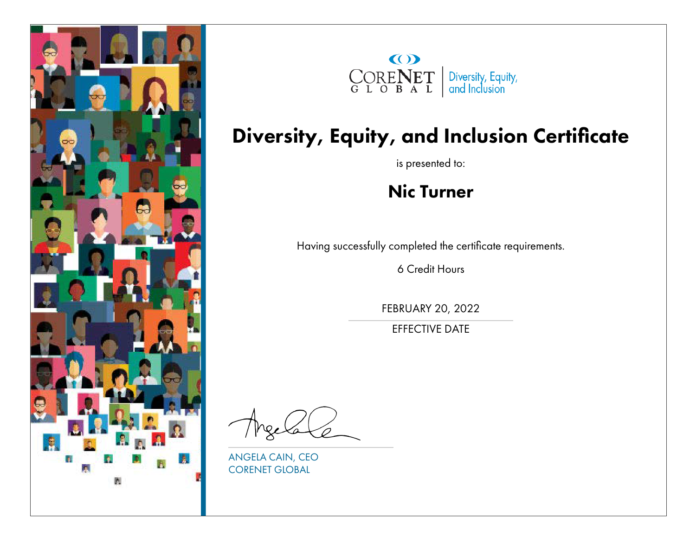



#### Diversity, Equity, and Inclusion Certificate

is presented to:

#### Nic Turner

Having successfully completed the certificate requirements.

6 Credit Hours

FEBRUARY 20, 2022

EFFECTIVE DATE

ANGELA CAIN, CEO CORENET GLOBAL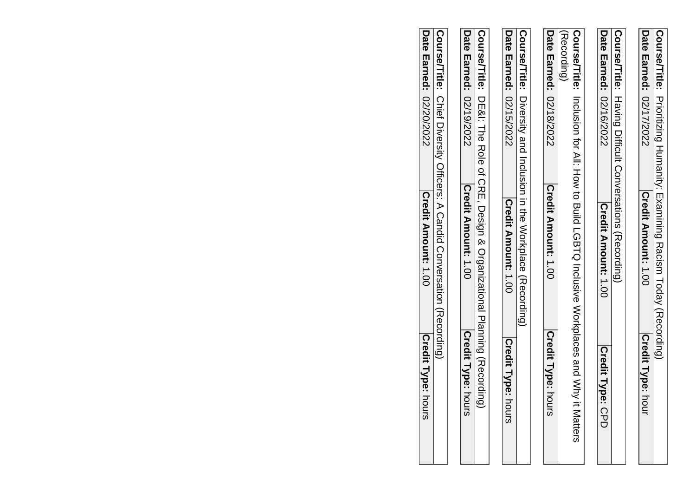|                                | <b>Course/Title:</b> Prioritizing Humanity: Examining Racism Today (Recording)              |                       |
|--------------------------------|---------------------------------------------------------------------------------------------|-----------------------|
| <b>Date Earned: 02/17/2022</b> | <b>Credit Amount: 1.00</b>                                                                  | Credit Type: h<br>hou |
|                                |                                                                                             |                       |
|                                | Course/Title: Having Difficult Conversations (Recording)                                    |                       |
| Date Earned: 02/16/2022        | Credit Amount: 1.00                                                                         | Credit Type: CPD      |
|                                |                                                                                             |                       |
| l(Recording)                   | Course/Title: Inclusion for All: How to Build LGBTQ Inclusive Workplaces and Wry it Matters |                       |
| Date Earned: 02/18/2022        | Credit Amount: 1.00                                                                         | Credit Type: hours    |
|                                |                                                                                             |                       |
|                                | Oourse/Tride: Diversity and Inclusion in the Workplace (Recording)                          |                       |
| Date Earned: 02/15/2022        | <b>Credit Amount: 1.00</b>                                                                  | Credit Type:<br>Pours |
|                                |                                                                                             |                       |
|                                | Course/Title: DE&I: The Role of CRE, Design & Organizational Planing (Recording)            |                       |
| Date Earned: 02/19/2022        | <b>Credit Amount: 1.00</b>                                                                  | Credit Type: hours    |
|                                |                                                                                             |                       |
|                                | Course/Title: Chief Diversity Officers: A Candid Conversation (Recording)                   |                       |

**Date Earned:** 

Date Earned: 02/20/2022

02/20/2022

**Credit Amount:** 1.00

Credit Amount: 1.00

**Credit Type:** hours

Credit Type: hours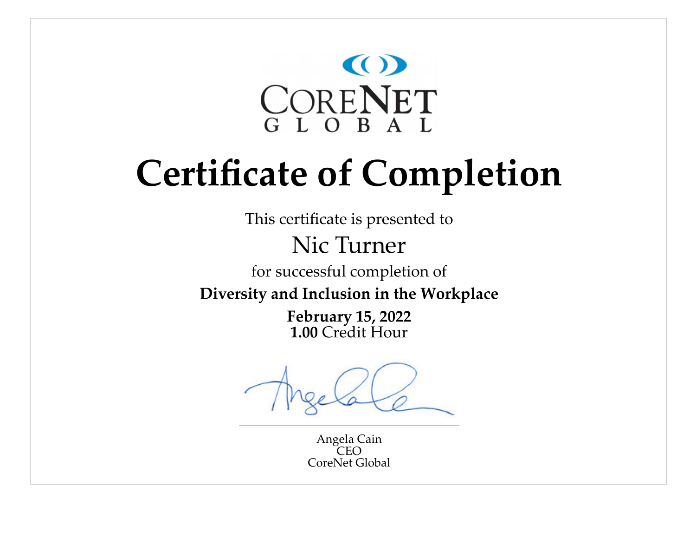

This certificate is presented to

### Nic Turner

for successful completion of

**Diversity and Inclusion in the Workplace**

**February 15, 2022 1.00** Credit Hour

Angela Cain  $CFO$ CoreNet Global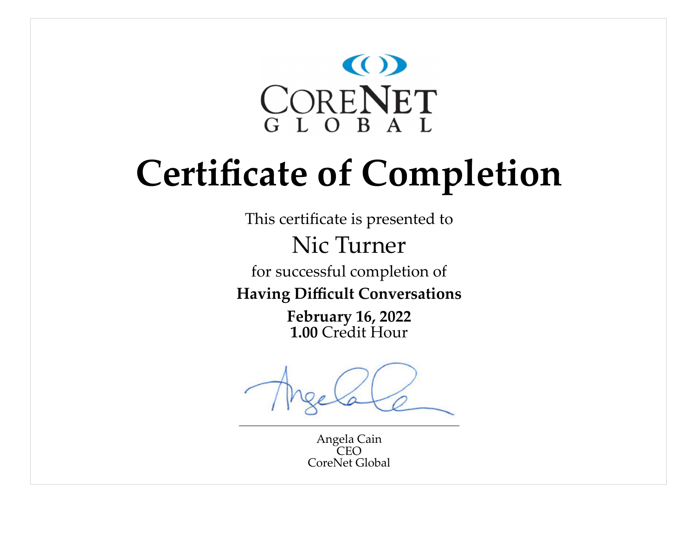

This certificate is presented to

Nic Turner

for successful completion of

**Having Difficult Conversations**

**February 16, 2022 1.00** Credit Hour

Angela Cain  $CFO$ CoreNet Global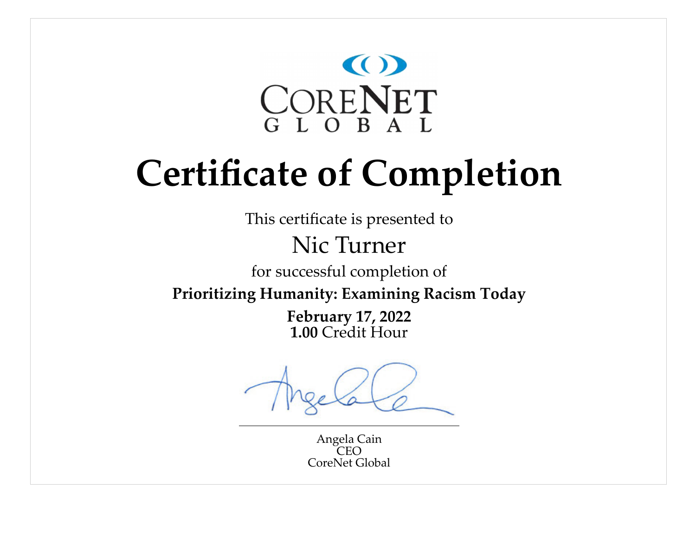

This certificate is presented to

### Nic Turner

for successful completion of

**Prioritizing Humanity: Examining Racism Today**

**February 17, 2022 1.00** Credit Hour

Angela Cain  $CFO$ CoreNet Global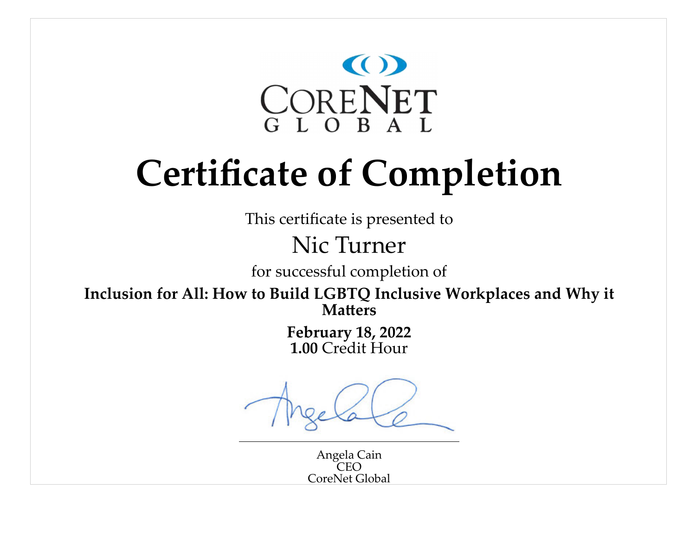

This certificate is presented to

#### Nic Turner

for successful completion of

**Inclusion for All: How to Build LGBTQ Inclusive Workplaces and Why it Matters**

> **February 18, 2022 1.00** Credit Hour

Angela Cain  $C_{\rm LO}$ CoreNet Global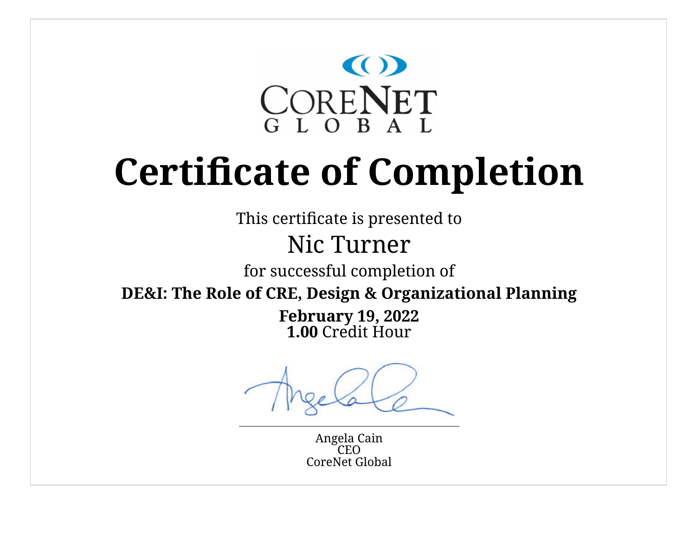

This certificate is presented to

### Nic Turner

for successful completion of

**DE&I: The Role of CRE, Design & Organizational Planning**

**February 19, 2022 1.00** Credit Hour

Angela Cain **CEO** CoreNet Global